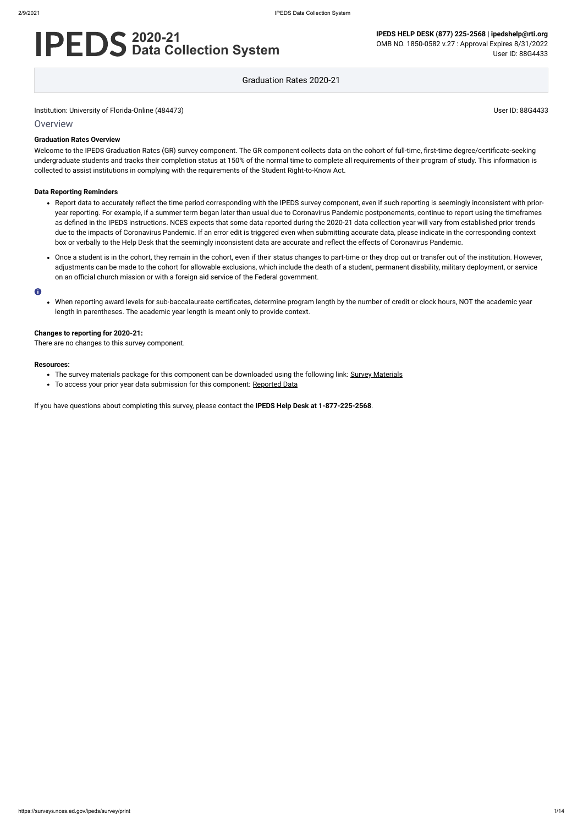Institution: University of Florida-Online (484473) User ID: 88G4433

**Overview** 

# **2020-21 Data Collection System**

**IPEDS HELP DESK (877) 225-2568 | ipedshelp@rti.org** OMB NO. 1850-0582 v.27 : Approval Expires 8/31/2022 User ID: 88G4433

Graduation Rates 2020-21

### **Graduation Rates Overview**

Welcome to the IPEDS Graduation Rates (GR) survey component. The GR component collects data on the cohort of full-time, first-time degree/certificate-seeking undergraduate students and tracks their completion status at 150% of the normal time to complete all requirements of their program of study. This information is collected to assist institutions in complying with the requirements of the Student Right-to-Know Act.

#### **Data Reporting Reminders**

- Report data to accurately reflect the time period corresponding with the IPEDS survey component, even if such reporting is seemingly inconsistent with prioryear reporting. For example, if a summer term began later than usual due to Coronavirus Pandemic postponements, continue to report using the timeframes as defined in the IPEDS instructions. NCES expects that some data reported during the 2020-21 data collection year will vary from established prior trends due to the impacts of Coronavirus Pandemic. If an error edit is triggered even when submitting accurate data, please indicate in the corresponding context box or verbally to the Help Desk that the seemingly inconsistent data are accurate and reflect the effects of Coronavirus Pandemic.
- Once a student is in the cohort, they remain in the cohort, even if their status changes to part-time or they drop out or transfer out of the institution. However, adjustments can be made to the cohort for allowable exclusions, which include the death of a student, permanent disability, military deployment, or service on an official church mission or with a foreign aid service of the Federal government.

#### $\bullet$

When reporting award levels for sub-baccalaureate certificates, determine program length by the number of credit or clock hours, NOT the academic year length in parentheses. The academic year length is meant only to provide context.

#### **Changes to reporting for 2020-21:**

There are no changes to this survey component.

#### **Resources:**

- The survey materials package for this component can be downloaded using the following link: Survey [Materials](https://surveys.nces.ed.gov/ipeds/public/survey-materials/index)
- To access your prior year data submission for this component: [Reported Data](https://surveys.nces.ed.gov/IPEDS_py/DataForms.aspx?f0e9e4efc4dfb8afb3afafb2aea1eef0edf1e0f4c4dfb8afa1f0eee0edc4dfb8b3b3c2afafaeaea1f0e9e4efc9dce8e0b8d0e9e4f1e0edeee4eff49beae19bc1e7eaede4dfdca8cae9e7e4e9e0a1ebedeadee0eeeeb8e0f3efe0ede9dce7a1eddfefb8adaab4aaadabadac9bb3b5b0abb5aeae9bbcc8)

If you have questions about completing this survey, please contact the **IPEDS Help Desk at 1-877-225-2568**.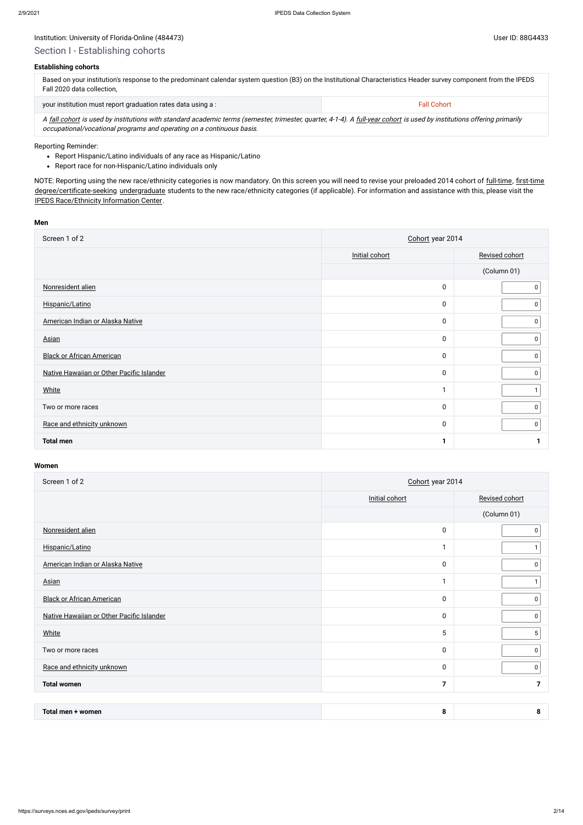## Institution: University of Florida-Online (484473) Channel States and States and States and Diserve ID: 88G4433

#### **Establishing cohorts**

| Based on your institution's response to the predominant calendar system question (B3) on the Institutional Characteristics Header survey component from the IPEDS<br>Fall 2020 data collection. |                    |
|-------------------------------------------------------------------------------------------------------------------------------------------------------------------------------------------------|--------------------|
| your institution must report graduation rates data using a:                                                                                                                                     | <b>Fall Cohort</b> |

A [fall cohort](javascript:openglossary(219)) is used by institutions with standard academic terms (semester, trimester, quarter, 4-1-4). A [full-year cohort](javascript:openglossary(261)) is used by institutions offering primarily occupational/vocational programs and operating on a continuous basis.

- Report Hispanic/Latino individuals of any race as Hispanic/Latino
- Report race for non-Hispanic/Latino individuals only

NOTE: Reporting using the new race/ethnicity categories is now mandatory. On this screen you will need to revise your preloaded 2014 cohort of [full-time,](javascript:openglossary(259)) [first-time](javascript:openglossary(241)) [degree/certificate-seeking](javascript:openglossary(171)) [undergraduate](javascript:openglossary(677)) students to the new race/ethnicity categories (if applicable). For information and assistance with this, please visit the [IPEDS Race/Ethnicity](https://nces.ed.gov/ipeds/report-your-data/resource-center-race-ethnicity) Information Center.

#### Reporting Reminder:

#### **Men**

| Screen 1 of 2                             | Cohort year 2014 |                |  |  |
|-------------------------------------------|------------------|----------------|--|--|
|                                           | Initial cohort   | Revised cohort |  |  |
|                                           |                  | (Column 01)    |  |  |
| Nonresident alien                         | $\mathbf 0$      | 0              |  |  |
| Hispanic/Latino                           | $\mathbf 0$      | 0              |  |  |
| American Indian or Alaska Native          | $\boldsymbol{0}$ | 0              |  |  |
| <b>Asian</b>                              | $\mathbf 0$      | 0              |  |  |
| <b>Black or African American</b>          | $\mathbf 0$      | $\mathsf{O}$   |  |  |
| Native Hawaiian or Other Pacific Islander | $\mathbf 0$      | $\mathbf 0$    |  |  |
| <b>White</b>                              |                  |                |  |  |
| Two or more races                         | $\mathbf 0$      | 0              |  |  |
| Race and ethnicity unknown                | $\mathbf 0$      | $\mathbf 0$    |  |  |
| <b>Total men</b>                          | 1                |                |  |  |

| Screen 1 of 2                             | Cohort year 2014 |                |  |  |
|-------------------------------------------|------------------|----------------|--|--|
|                                           | Initial cohort   | Revised cohort |  |  |
|                                           |                  | (Column 01)    |  |  |
| Nonresident alien                         | $\mathbf 0$      | 0              |  |  |
| Hispanic/Latino                           | 1                |                |  |  |
| American Indian or Alaska Native          | $\pmb{0}$        | 0              |  |  |
| <b>Asian</b>                              | 1                |                |  |  |
| <b>Black or African American</b>          | $\pmb{0}$        | 0              |  |  |
| Native Hawaiian or Other Pacific Islander | $\pmb{0}$        | 0              |  |  |
| White                                     | 5                | 5              |  |  |
| Two or more races                         | $\pmb{0}$        | 0              |  |  |
| Race and ethnicity unknown                | $\pmb{0}$        | 0              |  |  |
| <b>Total women</b>                        | 7                | 7              |  |  |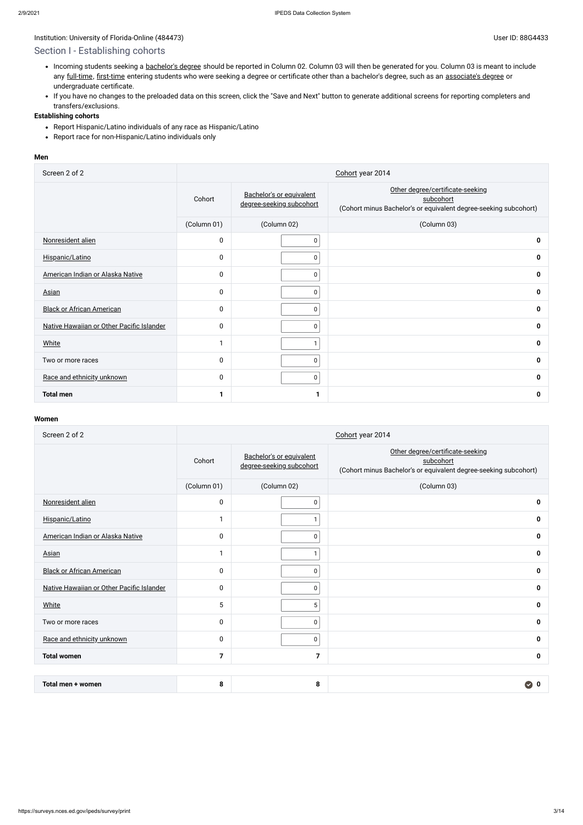## Section I - Establishing cohorts

- Incoming students seeking a [bachelor's](javascript:openglossary(77)) degree should be reported in Column 02. Column 03 will then be generated for you. Column 03 is meant to include any [full-time](javascript:openglossary(259)), [first-time](javascript:openglossary(241)) entering students who were seeking a degree or certificate other than a bachelor's degree, such as an [associate's](javascript:openglossary(55)) degree or undergraduate certificate.
- If you have no changes to the preloaded data on this screen, click the "Save and Next" button to generate additional screens for reporting completers and transfers/exclusions.

- Report Hispanic/Latino individuals of any race as Hispanic/Latino
- Report race for non-Hispanic/Latino individuals only

### **Establishing cohorts**

#### **Men**

| Screen 2 of 2                             | Cohort year 2014 |                                                      |                                                                                                                   |  |  |  |
|-------------------------------------------|------------------|------------------------------------------------------|-------------------------------------------------------------------------------------------------------------------|--|--|--|
|                                           | Cohort           | Bachelor's or equivalent<br>degree-seeking subcohort | Other degree/certificate-seeking<br>subcohort<br>(Cohort minus Bachelor's or equivalent degree-seeking subcohort) |  |  |  |
|                                           | (Column 01)      | (Column 02)                                          | (Column 03)                                                                                                       |  |  |  |
| Nonresident alien                         | $\pmb{0}$        | $\mathbf 0$                                          | $\mathbf 0$                                                                                                       |  |  |  |
| Hispanic/Latino                           | 0                | $\Omega$                                             | 0                                                                                                                 |  |  |  |
| American Indian or Alaska Native          | $\mathbf 0$      | $\mathbf 0$                                          | 0                                                                                                                 |  |  |  |
| <b>Asian</b>                              | $\pmb{0}$        | 0                                                    | 0                                                                                                                 |  |  |  |
| <b>Black or African American</b>          | $\mathbf 0$      | $\Omega$                                             | $\mathbf 0$                                                                                                       |  |  |  |
| Native Hawaiian or Other Pacific Islander | 0                | 0                                                    | 0                                                                                                                 |  |  |  |
| <b>White</b>                              | $\mathbf{1}$     |                                                      | 0                                                                                                                 |  |  |  |
| Two or more races                         | 0                | $\Omega$                                             | 0                                                                                                                 |  |  |  |
| Race and ethnicity unknown                | 0                | 0                                                    | $\mathbf 0$                                                                                                       |  |  |  |
| <b>Total men</b>                          | $\mathbf{1}$     |                                                      | 0                                                                                                                 |  |  |  |

| Screen 2 of 2                             | Cohort year 2014        |                                                      |                                                                                                                   |  |  |
|-------------------------------------------|-------------------------|------------------------------------------------------|-------------------------------------------------------------------------------------------------------------------|--|--|
|                                           | Cohort                  | Bachelor's or equivalent<br>degree-seeking subcohort | Other degree/certificate-seeking<br>subcohort<br>(Cohort minus Bachelor's or equivalent degree-seeking subcohort) |  |  |
|                                           | (Column 01)             | (Column 02)                                          | (Column 03)                                                                                                       |  |  |
| Nonresident alien                         | $\mathbf 0$             | $\pmb{0}$                                            | 0                                                                                                                 |  |  |
| Hispanic/Latino                           | 1                       | $\mathbf{1}$                                         | 0                                                                                                                 |  |  |
| American Indian or Alaska Native          | $\mathbf 0$             | $\mathbf 0$                                          | 0                                                                                                                 |  |  |
| <b>Asian</b>                              | $\mathbf{1}$            | 1                                                    | 0                                                                                                                 |  |  |
| <b>Black or African American</b>          | $\mathbf 0$             | 0                                                    | 0                                                                                                                 |  |  |
| Native Hawaiian or Other Pacific Islander | $\mathbf 0$             | 0                                                    | 0                                                                                                                 |  |  |
| White                                     | 5                       | 5                                                    | 0                                                                                                                 |  |  |
| Two or more races                         | $\mathbf 0$             | $\mathbf 0$                                          | 0                                                                                                                 |  |  |
| Race and ethnicity unknown                | $\mathbf 0$             | 0                                                    | 0                                                                                                                 |  |  |
| <b>Total women</b>                        | $\overline{\mathbf{z}}$ | $\overline{7}$                                       | 0                                                                                                                 |  |  |
|                                           |                         |                                                      |                                                                                                                   |  |  |
| Total men + women                         | 8                       | 8                                                    | $\mathbf 0$<br>$\bullet$                                                                                          |  |  |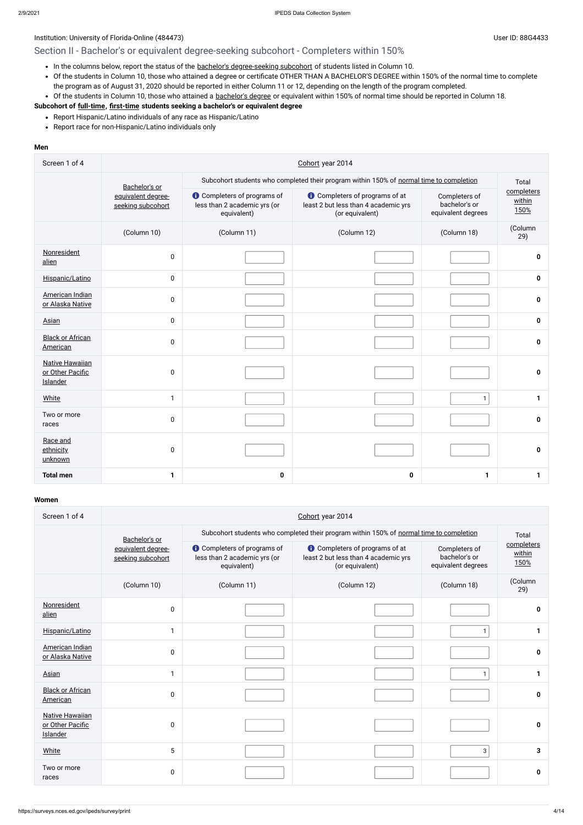## Institution: University of Florida-Online (484473) User ID: 88G4433

## Section II - Bachelor's or equivalent degree-seeking subcohort - Completers within 150%

- In the columns below, report the status of the bachelor's [degree-seeking](javascript:openglossary(79)) subcohort of students listed in Column 10.
- Of the students in Column 10, those who attained a degree or certificate OTHER THAN A BACHELOR'S DEGREE within 150% of the normal time to complete the program as of August 31, 2020 should be reported in either Column 11 or 12, depending on the length of the program completed.
- Of the students in Column 10, those who attained a [bachelor's](javascript:openglossary(77)) degree or equivalent within 150% of normal time should be reported in Column 18.

- Report Hispanic/Latino individuals of any race as Hispanic/Latino
- Report race for non-Hispanic/Latino individuals only

## **Subcohort of [full-time](javascript:openglossary(259)), [first-time](javascript:openglossary(241)) students seeking a bachelor's or equivalent degree**

#### **Men**

| Screen 1 of 4                                          | Cohort year 2014                        |                                                                                   |                                                                                                  |                                                                                         |                              |  |  |
|--------------------------------------------------------|-----------------------------------------|-----------------------------------------------------------------------------------|--------------------------------------------------------------------------------------------------|-----------------------------------------------------------------------------------------|------------------------------|--|--|
|                                                        | Bachelor's or                           |                                                                                   |                                                                                                  | Subcohort students who completed their program within 150% of normal time to completion |                              |  |  |
|                                                        | equivalent degree-<br>seeking subcohort | <b>O</b> Completers of programs of<br>less than 2 academic yrs (or<br>equivalent) | <b>t</b> Completers of programs of at<br>least 2 but less than 4 academic yrs<br>(or equivalent) | Completers of<br>bachelor's or<br>equivalent degrees                                    | completers<br>within<br>150% |  |  |
|                                                        | (Column 10)                             | (Column 11)                                                                       | (Column 12)                                                                                      | (Column 18)                                                                             | (Column<br>29)               |  |  |
| Nonresident<br>alien                                   | $\pmb{0}$                               |                                                                                   |                                                                                                  |                                                                                         | 0                            |  |  |
| Hispanic/Latino                                        | $\mathbf 0$                             |                                                                                   |                                                                                                  |                                                                                         | 0                            |  |  |
| American Indian<br>or Alaska Native                    | 0                                       |                                                                                   |                                                                                                  |                                                                                         | $\mathbf 0$                  |  |  |
| Asian                                                  | $\mathbf 0$                             |                                                                                   |                                                                                                  |                                                                                         | $\mathbf 0$                  |  |  |
| <b>Black or African</b><br>American                    | $\pmb{0}$                               |                                                                                   |                                                                                                  |                                                                                         | 0                            |  |  |
| <b>Native Hawaiian</b><br>or Other Pacific<br>Islander | $\pmb{0}$                               |                                                                                   |                                                                                                  |                                                                                         | 0                            |  |  |
| <b>White</b>                                           | $\mathbf{1}$                            |                                                                                   |                                                                                                  | $\mathbf{1}$                                                                            | $\mathbf{1}$                 |  |  |
| Two or more<br>races                                   | 0                                       |                                                                                   |                                                                                                  |                                                                                         | $\mathbf{0}$                 |  |  |
| Race and<br>ethnicity<br>unknown                       | $\mathbf 0$                             |                                                                                   |                                                                                                  |                                                                                         | $\mathbf 0$                  |  |  |
| <b>Total men</b>                                       | $\mathbf{1}$                            | $\mathbf 0$                                                                       | $\mathbf 0$                                                                                      | $\mathbf{1}$                                                                            | $\mathbf 1$                  |  |  |

| Screen 1 of 4                                                 | Cohort year 2014                        |                                                                                   |                                                                                                  |                                                                                         |                              |  |  |  |
|---------------------------------------------------------------|-----------------------------------------|-----------------------------------------------------------------------------------|--------------------------------------------------------------------------------------------------|-----------------------------------------------------------------------------------------|------------------------------|--|--|--|
|                                                               | Bachelor's or                           |                                                                                   |                                                                                                  | Subcohort students who completed their program within 150% of normal time to completion |                              |  |  |  |
|                                                               | equivalent degree-<br>seeking subcohort | <b>O</b> Completers of programs of<br>less than 2 academic yrs (or<br>equivalent) | <b>O</b> Completers of programs of at<br>least 2 but less than 4 academic yrs<br>(or equivalent) | Completers of<br>bachelor's or<br>equivalent degrees                                    | completers<br>within<br>150% |  |  |  |
|                                                               | (Column 10)                             | (Column 11)                                                                       | (Column 12)                                                                                      | (Column 18)                                                                             | (Column<br>29)               |  |  |  |
| Nonresident<br>alien                                          | 0                                       |                                                                                   |                                                                                                  |                                                                                         | 0                            |  |  |  |
| Hispanic/Latino                                               | 1                                       |                                                                                   |                                                                                                  | 1                                                                                       |                              |  |  |  |
| American Indian<br>or Alaska Native                           | 0                                       |                                                                                   |                                                                                                  |                                                                                         | $\mathbf 0$                  |  |  |  |
| Asian                                                         | $\mathbf{1}$                            |                                                                                   |                                                                                                  | $\mathbf{1}$                                                                            | 1                            |  |  |  |
| <b>Black or African</b><br>American                           | 0                                       |                                                                                   |                                                                                                  |                                                                                         | $\mathbf{0}$                 |  |  |  |
| <b>Native Hawaiian</b><br>or Other Pacific<br><b>Islander</b> | 0                                       |                                                                                   |                                                                                                  |                                                                                         | $\mathbf{0}$                 |  |  |  |
| White                                                         | 5                                       |                                                                                   |                                                                                                  | 3                                                                                       | 3                            |  |  |  |
| Two or more<br>races                                          | 0                                       |                                                                                   |                                                                                                  |                                                                                         | 0                            |  |  |  |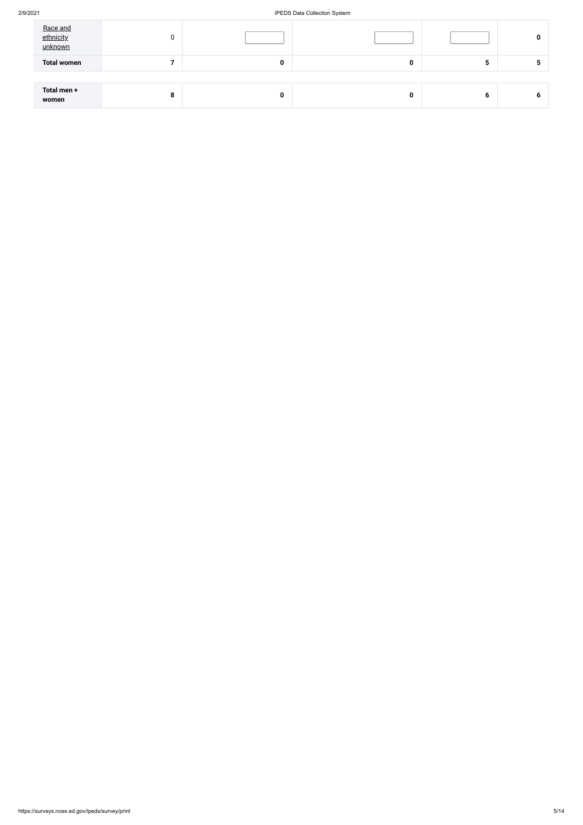### 2/9/2021 IPEDS Data Collection System

| Race and<br>ethnicity<br>unknown | 0 |             |   |   | 0 |
|----------------------------------|---|-------------|---|---|---|
| <b>Total women</b>               |   | $\mathbf 0$ | 0 | G |   |
|                                  |   |             |   |   |   |
| Total men +<br>women             | 8 | 0           |   | 6 | O |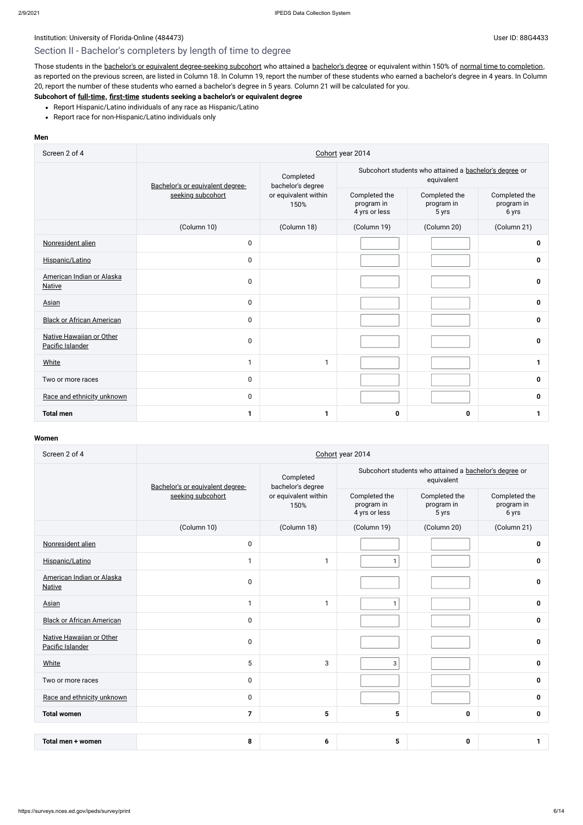## Section II - Bachelor's completers by length of time to degree

Those students in the bachelor's or equivalent [degree-seeking](javascript:openglossary(79)) subcohort who attained a [bachelor's](javascript:openglossary(77)) degree or equivalent within 150% of normal time to [completion](javascript:openglossary(421)), as reported on the previous screen, are listed in Column 18. In Column 19, report the number of these students who earned a bachelor's degree in 4 years. In Column 20, report the number of these students who earned a bachelor's degree in 5 years. Column 21 will be calculated for you.

- Report Hispanic/Latino individuals of any race as Hispanic/Latino
- Report race for non-Hispanic/Latino individuals only

### **Subcohort of [full-time](javascript:openglossary(259)), [first-time](javascript:openglossary(241)) students seeking a bachelor's or equivalent degree**

#### **Men**

| Screen 2 of 4                                | Cohort year 2014                 |                                |                                                                      |                                      |                                      |  |  |  |
|----------------------------------------------|----------------------------------|--------------------------------|----------------------------------------------------------------------|--------------------------------------|--------------------------------------|--|--|--|
|                                              | Bachelor's or equivalent degree- | Completed<br>bachelor's degree | Subcohort students who attained a bachelor's degree or<br>equivalent |                                      |                                      |  |  |  |
|                                              | seeking subcohort                | or equivalent within<br>150%   | Completed the<br>program in<br>4 yrs or less                         | Completed the<br>program in<br>5 yrs | Completed the<br>program in<br>6 yrs |  |  |  |
|                                              | (Column 10)                      | (Column 18)                    | (Column 19)                                                          | (Column 20)                          | (Column 21)                          |  |  |  |
| Nonresident alien                            | $\pmb{0}$                        |                                |                                                                      |                                      | 0                                    |  |  |  |
| Hispanic/Latino                              | $\pmb{0}$                        |                                |                                                                      |                                      | $\mathbf 0$                          |  |  |  |
| American Indian or Alaska<br><b>Native</b>   | $\mathbf 0$                      |                                |                                                                      |                                      | $\mathbf 0$                          |  |  |  |
| <b>Asian</b>                                 | $\mathbf 0$                      |                                |                                                                      |                                      | 0                                    |  |  |  |
| <b>Black or African American</b>             | $\mathbf 0$                      |                                |                                                                      |                                      | $\mathbf 0$                          |  |  |  |
| Native Hawaiian or Other<br>Pacific Islander | $\pmb{0}$                        |                                |                                                                      |                                      | $\mathbf 0$                          |  |  |  |
| White                                        | $\mathbf{1}$                     | $\mathbf{1}$                   |                                                                      |                                      | 1                                    |  |  |  |
| Two or more races                            | $\pmb{0}$                        |                                |                                                                      |                                      | 0                                    |  |  |  |
| Race and ethnicity unknown                   | $\pmb{0}$                        |                                |                                                                      |                                      | $\mathbf 0$                          |  |  |  |
| <b>Total men</b>                             | $\mathbf 1$                      | $\mathbf 1$                    | $\mathbf 0$                                                          | 0                                    |                                      |  |  |  |

| Screen 2 of 4                                | Cohort year 2014                 |                                |                                                                      |                                      |                                      |  |  |
|----------------------------------------------|----------------------------------|--------------------------------|----------------------------------------------------------------------|--------------------------------------|--------------------------------------|--|--|
|                                              | Bachelor's or equivalent degree- | Completed<br>bachelor's degree | Subcohort students who attained a bachelor's degree or<br>equivalent |                                      |                                      |  |  |
|                                              | seeking subcohort                | or equivalent within<br>150%   | Completed the<br>program in<br>4 yrs or less                         | Completed the<br>program in<br>5 yrs | Completed the<br>program in<br>6 yrs |  |  |
|                                              | (Column 10)                      | (Column 18)                    | (Column 19)                                                          | (Column 20)                          | (Column 21)                          |  |  |
| Nonresident alien                            | $\pmb{0}$                        |                                |                                                                      |                                      | 0                                    |  |  |
| Hispanic/Latino                              | 1                                | $\mathbf{1}$                   | $\mathbf{1}$                                                         |                                      | 0                                    |  |  |
| American Indian or Alaska<br><b>Native</b>   | $\pmb{0}$                        |                                |                                                                      |                                      | 0                                    |  |  |
| Asian                                        | $\mathbf{1}$                     | $\mathbf{1}$                   | $\mathbf{1}$                                                         |                                      | $\mathbf 0$                          |  |  |
| <b>Black or African American</b>             | $\mathbf 0$                      |                                |                                                                      |                                      | $\mathbf{0}$                         |  |  |
| Native Hawaiian or Other<br>Pacific Islander | $\mathbf 0$                      |                                |                                                                      |                                      | 0                                    |  |  |
| White                                        | 5                                | 3                              | 3                                                                    |                                      | 0                                    |  |  |
| Two or more races                            | $\mathbf 0$                      |                                |                                                                      |                                      | 0                                    |  |  |
| Race and ethnicity unknown                   | $\mathbf 0$                      |                                |                                                                      |                                      | $\mathbf{0}$                         |  |  |
| <b>Total women</b>                           | 7                                | $5\phantom{1}$                 | $5\phantom{1}$                                                       | 0                                    | $\mathbf 0$                          |  |  |
|                                              |                                  |                                |                                                                      |                                      |                                      |  |  |
| Total men + women                            | 8                                | 6                              | 5                                                                    | 0                                    | 1                                    |  |  |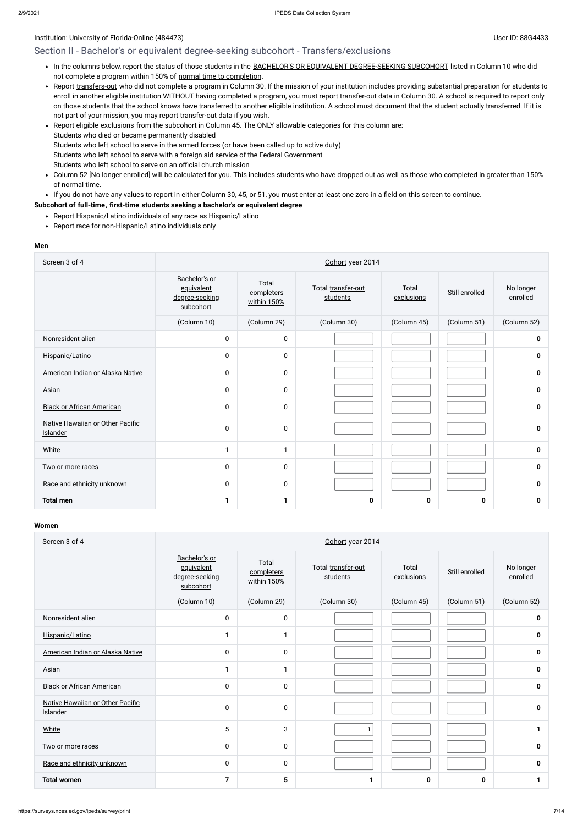### Institution: University of Florida-Online (484473) User ID: 88G4433

## Section II - Bachelor's or equivalent degree-seeking subcohort - Transfers/exclusions

- . In the columns below, report the status of those students in the BACHELOR'S OR EQUIVALENT [DEGREE-SEEKING SUBCOHORT](javascript:openglossary(79)) listed in Column 10 who did not complete a program within 150% of normal time to [completion](javascript:openglossary(421)).
- Report [transfers-out](javascript:openglossary(657)) who did not complete a program in Column 30. If the mission of your institution includes providing substantial preparation for students to enroll in another eligible institution WITHOUT having completed a program, you must report transfer-out data in Column 30. A school is required to report only on those students that the school knows have transferred to another eligible institution. A school must document that the student actually transferred. If it is not part of your mission, you may report transfer-out data if you wish.
- Report eligible [exclusions](javascript:openglossary(207)) from the subcohort in Column 45. The ONLY allowable categories for this column are: Students who died or became permanently disabled Students who left school to serve in the armed forces (or have been called up to active duty) Students who left school to serve with a foreign aid service of the Federal Government Students who left school to serve on an official church mission
- Column 52 [No longer enrolled] will be calculated for you. This includes students who have dropped out as well as those who completed in greater than 150%  $\bullet$ of normal time.

If you do not have any values to report in either Column 30, 45, or 51, you must enter at least one zero in a field on this screen to continue.

#### **Subcohort of [full-time](javascript:openglossary(259)), [first-time](javascript:openglossary(241)) students seeking a bachelor's or equivalent degree**

- Report Hispanic/Latino individuals of any race as Hispanic/Latino
- Report race for non-Hispanic/Latino individuals only

#### **Men**

| Screen 3 of 4                                | Cohort year 2014                                           |                                    |                                |                     |                |                       |  |
|----------------------------------------------|------------------------------------------------------------|------------------------------------|--------------------------------|---------------------|----------------|-----------------------|--|
|                                              | Bachelor's or<br>equivalent<br>degree-seeking<br>subcohort | Total<br>completers<br>within 150% | Total transfer-out<br>students | Total<br>exclusions | Still enrolled | No longer<br>enrolled |  |
|                                              | (Column 10)                                                | (Column 29)                        | (Column 30)                    | (Column 45)         | (Column 51)    | (Column 52)           |  |
| Nonresident alien                            | 0                                                          | $\pmb{0}$                          |                                |                     |                | 0                     |  |
| Hispanic/Latino                              | 0                                                          | $\pmb{0}$                          |                                |                     |                | 0                     |  |
| American Indian or Alaska Native             | 0                                                          | $\pmb{0}$                          |                                |                     |                | $\mathbf 0$           |  |
| Asian                                        | 0                                                          | $\pmb{0}$                          |                                |                     |                | $\mathbf 0$           |  |
| <b>Black or African American</b>             | 0                                                          | $\pmb{0}$                          |                                |                     |                | $\mathbf 0$           |  |
| Native Hawaiian or Other Pacific<br>Islander | $\mathbf{0}$                                               | $\pmb{0}$                          |                                |                     |                | 0                     |  |
| <b>White</b>                                 | 1                                                          | $\mathbf{1}$                       |                                |                     |                | $\mathbf 0$           |  |
| Two or more races                            | 0                                                          | $\mathbf 0$                        |                                |                     |                | $\mathbf 0$           |  |
| Race and ethnicity unknown                   | $\mathbf{0}$                                               | $\pmb{0}$                          |                                |                     |                | $\mathbf 0$           |  |
| <b>Total men</b>                             | 1                                                          | 1                                  | 0                              | $\mathbf 0$         | $\mathbf 0$    | 0                     |  |

| Screen 3 of 4                                | Cohort year 2014                                           |                                    |                                |                     |                |                       |
|----------------------------------------------|------------------------------------------------------------|------------------------------------|--------------------------------|---------------------|----------------|-----------------------|
|                                              | Bachelor's or<br>equivalent<br>degree-seeking<br>subcohort | Total<br>completers<br>within 150% | Total transfer-out<br>students | Total<br>exclusions | Still enrolled | No longer<br>enrolled |
|                                              | (Column 10)                                                | (Column 29)                        | (Column 30)                    | (Column 45)         | (Column 51)    | (Column 52)           |
| Nonresident alien                            | 0                                                          | $\pmb{0}$                          |                                |                     |                | $\mathbf 0$           |
| Hispanic/Latino                              | 1                                                          | 1                                  |                                |                     |                | 0                     |
| American Indian or Alaska Native             | 0                                                          | $\pmb{0}$                          |                                |                     |                | $\mathbf 0$           |
| <b>Asian</b>                                 | 1                                                          | 1                                  |                                |                     |                | $\pmb{0}$             |
| <b>Black or African American</b>             | 0                                                          | $\mathbf 0$                        |                                |                     |                | $\mathbf 0$           |
| Native Hawaiian or Other Pacific<br>Islander | 0                                                          | $\pmb{0}$                          |                                |                     |                | $\mathbf 0$           |
| White                                        | 5                                                          | 3                                  | $\mathbf{1}$                   |                     |                | 1                     |
| Two or more races                            | 0                                                          | $\mathbf 0$                        |                                |                     |                | 0                     |
| Race and ethnicity unknown                   | 0                                                          | 0                                  |                                |                     |                | $\mathbf 0$           |
| <b>Total women</b>                           | 7                                                          | 5                                  | 1                              | 0                   | $\mathbf 0$    | 1                     |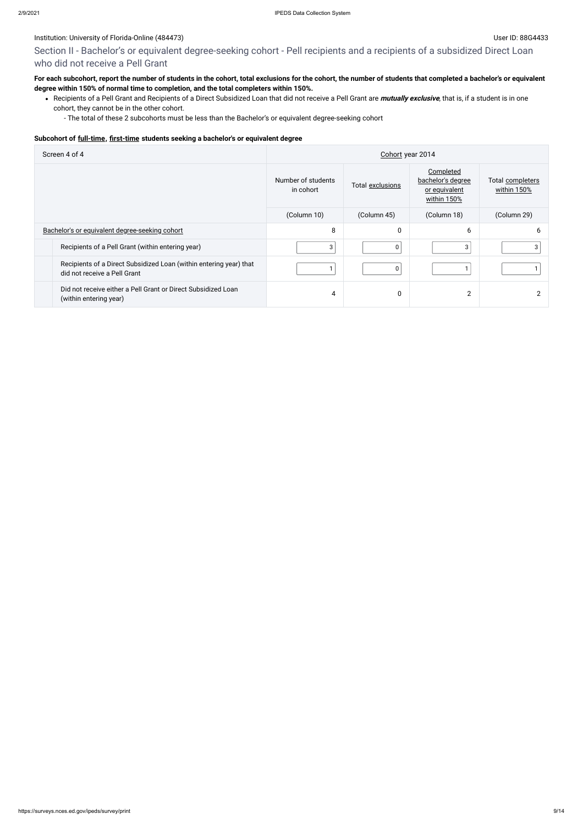### Institution: University of Florida-Online (484473) Subset ID: 88G4433

## Section II - Bachelor's or equivalent degree-seeking cohort - Pell recipients and a recipients of a subsidized Direct Loan who did not receive a Pell Grant

## **For each subcohort, report the number of students in the cohort, total exclusions for the cohort, the number of students that completed a bachelor's or equivalent degree within 150% of normal time to completion, and the total completers within 150%.**

Recipients of a Pell Grant and Recipients of a Direct Subsidized Loan that did not receive a Pell Grant are **mutually exclusive**, that is, if a student is in one cohort, they cannot be in the other cohort.

- The total of these 2 subcohorts must be less than the Bachelor's or equivalent degree-seeking cohort

#### **Subcohort of [full-time](javascript:openglossary(259)), [first-time](javascript:openglossary(241)) students seeking a bachelor's or equivalent degree**

| Screen 4 of 4                                                                                      | Cohort year 2014                |                  |                                                                |                                 |  |
|----------------------------------------------------------------------------------------------------|---------------------------------|------------------|----------------------------------------------------------------|---------------------------------|--|
|                                                                                                    | Number of students<br>in cohort | Total exclusions | Completed<br>bachelor's degree<br>or equivalent<br>within 150% | Total completers<br>within 150% |  |
|                                                                                                    | (Column 10)                     | (Column 45)      | (Column 18)                                                    | (Column 29)                     |  |
| Bachelor's or equivalent degree-seeking cohort                                                     | 8                               | 0                | 6                                                              | b.                              |  |
| Recipients of a Pell Grant (within entering year)                                                  | 3                               | 0                | 3                                                              |                                 |  |
| Recipients of a Direct Subsidized Loan (within entering year) that<br>did not receive a Pell Grant |                                 | 0                |                                                                |                                 |  |
| Did not receive either a Pell Grant or Direct Subsidized Loan<br>(within entering year)            | 4                               | 0                | $\overline{2}$                                                 |                                 |  |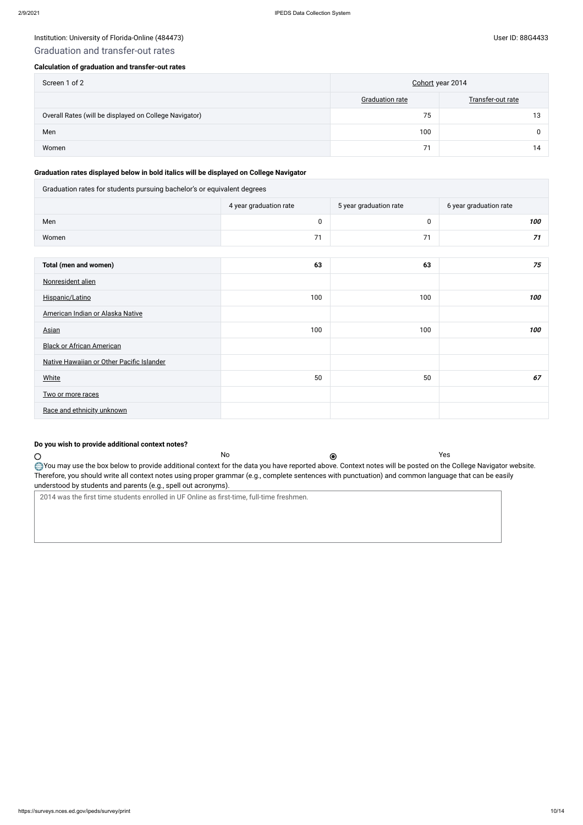#### Institution: University of Florida-Online (484473) Channel Assembly of Florida-Online (484473)

## Graduation and transfer-out rates

#### **Calculation of graduation and transfer-out rates**

| Screen 1 of 2                                          | Cohort year 2014       |                   |
|--------------------------------------------------------|------------------------|-------------------|
|                                                        | <b>Graduation rate</b> | Transfer-out rate |
| Overall Rates (will be displayed on College Navigator) | 75                     | 13                |
| Men                                                    | 100                    | <sup>n</sup>      |
| Women                                                  | 71                     | 14                |

#### **Graduation rates displayed below in bold italics will be displayed on College Navigator**

| Graduation rates for students pursuing bachelor's or equivalent degrees |                        |                        |                        |  |  |
|-------------------------------------------------------------------------|------------------------|------------------------|------------------------|--|--|
|                                                                         | 4 year graduation rate | 5 year graduation rate | 6 year graduation rate |  |  |
| Men                                                                     | $\pmb{0}$              | $\pmb{0}$              | 100                    |  |  |
| Women                                                                   | 71                     | 71                     | 71                     |  |  |
|                                                                         |                        |                        |                        |  |  |
| Total (men and women)                                                   | 63                     | 63                     | 75                     |  |  |
| Nonresident alien                                                       |                        |                        |                        |  |  |
| Hispanic/Latino                                                         | 100                    | 100                    | 100                    |  |  |
| American Indian or Alaska Native                                        |                        |                        |                        |  |  |
| <b>Asian</b>                                                            | 100                    | 100                    | 100                    |  |  |
| <b>Black or African American</b>                                        |                        |                        |                        |  |  |
| Native Hawaiian or Other Pacific Islander                               |                        |                        |                        |  |  |
| <b>White</b>                                                            | 50                     | 50                     | 67                     |  |  |
| Two or more races                                                       |                        |                        |                        |  |  |
| Race and ethnicity unknown                                              |                        |                        |                        |  |  |

#### **Do you wish to provide additional context notes?**

No Yes

Therefore, you should write all context notes using proper grammar (e.g., complete sentences with punctuation) and common language that can be easily

understood by students and parents (e.g., spell out acronyms).

2014 was the first time students enrolled in UF Online as first-time, full-time freshmen.

 $\circ$ 

You may use the box below to provide additional context for the data you have reported above. Context notes will be posted on the College Navigator website.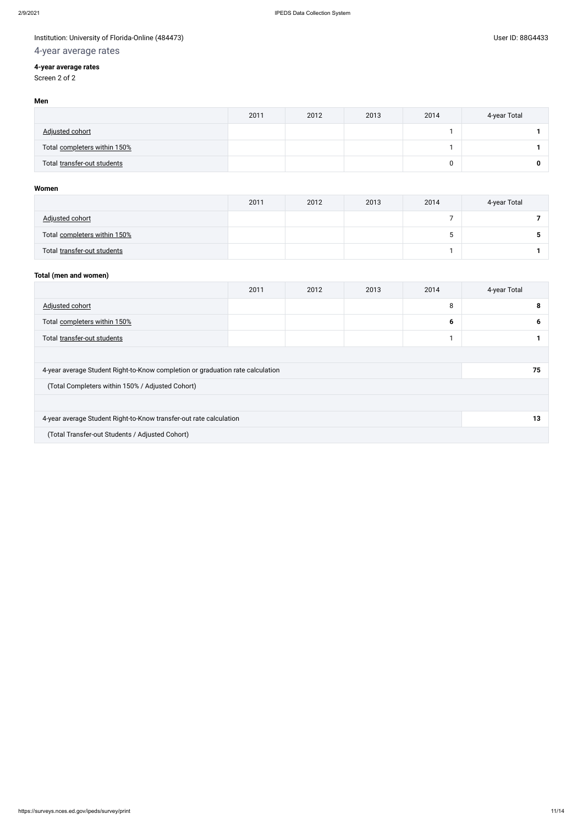## Institution: University of Florida-Online (484473) Channel States and States and States and User ID: 88G4433

## 4-year average rates

## **4-year average rates**

Screen 2 of 2

#### **Men**

|                              | 2011 | 2012 | 2013 | 2014 | 4-year Total |
|------------------------------|------|------|------|------|--------------|
| Adjusted cohort              |      |      |      |      |              |
| Total completers within 150% |      |      |      |      |              |
| Total transfer-out students  |      |      |      |      | 0            |

#### **Women**

|                              | 2011 | 2012 | 2013 | 2014 | 4-year Total |
|------------------------------|------|------|------|------|--------------|
| <u>Adjusted cohort</u>       |      |      |      |      |              |
| Total completers within 150% |      |      |      | ີ    |              |
| Total transfer-out students  |      |      |      |      |              |

## **Total (men and women)**

|                                                                                | 2011 | 2012 | 2013 | 2014 | 4-year Total |
|--------------------------------------------------------------------------------|------|------|------|------|--------------|
| Adjusted cohort                                                                |      |      |      | 8    | 8            |
| Total completers within 150%                                                   |      |      |      | 6    | 6            |
| Total transfer-out students                                                    |      |      |      | и    |              |
|                                                                                |      |      |      |      |              |
| 4-year average Student Right-to-Know completion or graduation rate calculation |      |      |      |      | 75           |
| (Total Completers within 150% / Adjusted Cohort)                               |      |      |      |      |              |
|                                                                                |      |      |      |      |              |
| 4-year average Student Right-to-Know transfer-out rate calculation             | 13   |      |      |      |              |
| (Total Transfer-out Students / Adjusted Cohort)                                |      |      |      |      |              |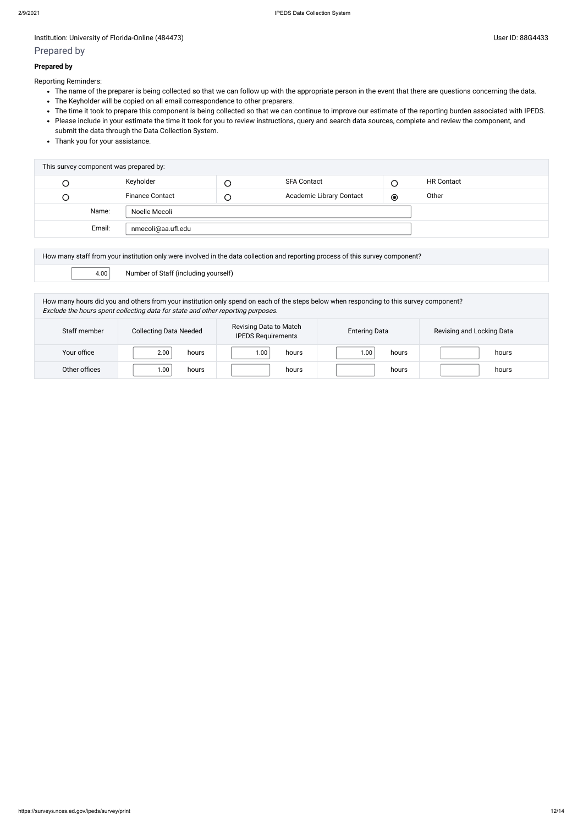#### Institution: University of Florida-Online (484473) Channel Assembly of Florida-Online (484473)

## Prepared by

#### **Prepared by**

Reporting Reminders:

- The name of the preparer is being collected so that we can follow up with the appropriate person in the event that there are questions concerning the data.
- The Keyholder will be copied on all email correspondence to other preparers.
- The time it took to prepare this component is being collected so that we can continue to improve our estimate of the reporting burden associated with IPEDS.
- Please include in your estimate the time it took for you to review instructions, query and search data sources, complete and review the component, and submit the data through the Data Collection System.
- Thank you for your assistance.

| This survey component was prepared by: |                        |        |                          |         |                   |
|----------------------------------------|------------------------|--------|--------------------------|---------|-------------------|
| L                                      | Keyholder              |        | <b>SFA Contact</b>       |         | <b>HR Contact</b> |
| U                                      | <b>Finance Contact</b> | $\cup$ | Academic Library Contact | $\odot$ | Other             |
| Name:                                  | Noelle Mecoli          |        |                          |         |                   |
| Email:                                 | nmecoli@aa.ufl.edu     |        |                          |         |                   |

| How many staff from your institution only were involved in the data collection and reporting process of this survey component? |                                      |  |  |  |  |
|--------------------------------------------------------------------------------------------------------------------------------|--------------------------------------|--|--|--|--|
| 4.00                                                                                                                           | Number of Staff (including yourself) |  |  |  |  |

How many hours did you and others from your institution only spend on each of the steps below when responding to this survey component? Exclude the hours spent collecting data for state and other reporting purposes.

| Staff member  | <b>Collecting Data Needed</b> | Revising Data to Match<br><b>IPEDS Requirements</b> | <b>Entering Data</b> | Revising and Locking Data |
|---------------|-------------------------------|-----------------------------------------------------|----------------------|---------------------------|
| Your office   | 2.00<br>hours                 | 00.1<br>hours                                       | 00.1<br>hours        | hours                     |
| Other offices | 1.00<br>hours                 | hours                                               | hours                | hours                     |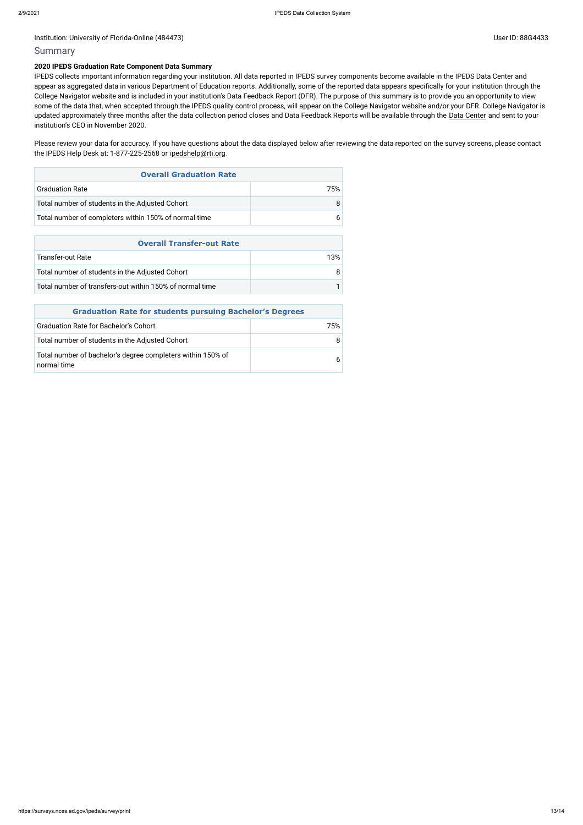#### Institution: University of Florida-Online (484473) Channel Assembly 10 and 20 and 20 and 20 and 20 and 20 and 20 and 20 and 20 and 20 and 20 and 20 and 20 and 20 and 20 and 20 and 20 and 20 and 20 and 20 and 20 and 20 and

#### Summary

#### **2020 IPEDS Graduation Rate Component Data Summary**

Please review your data for accuracy. If you have questions about the data displayed below after reviewing the data reported on the survey screens, please contact the IPEDS Help Desk at: 1-877-225-2568 or [ipedshelp@rti.org](mailto:ipedshelp@rti.org).

IPEDS collects important information regarding your institution. All data reported in IPEDS survey components become available in the IPEDS Data Center and appear as aggregated data in various Department of Education reports. Additionally, some of the reported data appears specifically for your institution through the College Navigator website and is included in your institution's Data Feedback Report (DFR). The purpose of this summary is to provide you an opportunity to view some of the data that, when accepted through the IPEDS quality control process, will appear on the College Navigator website and/or your DFR. College Navigator is updated approximately three months after the data collection period closes and Data Feedback Reports will be available through the Data [Center](https://nces.ed.gov/ipeds/use-the-data) and sent to your institution's CEO in November 2020.

| <b>Overall Graduation Rate</b>                        |      |  |  |  |
|-------------------------------------------------------|------|--|--|--|
| <b>Graduation Rate</b>                                | 75%. |  |  |  |
| Total number of students in the Adjusted Cohort       | 8    |  |  |  |
| Total number of completers within 150% of normal time |      |  |  |  |

| <b>Overall Transfer-out Rate</b>                         |     |  |  |  |
|----------------------------------------------------------|-----|--|--|--|
| Transfer-out Rate                                        | 13% |  |  |  |
| Total number of students in the Adjusted Cohort          |     |  |  |  |
| Total number of transfers-out within 150% of normal time |     |  |  |  |

|                                                                            | <b>Graduation Rate for students pursuing Bachelor's Degrees</b> |  |  |  |
|----------------------------------------------------------------------------|-----------------------------------------------------------------|--|--|--|
| <b>Graduation Rate for Bachelor's Cohort</b>                               | 75%                                                             |  |  |  |
| Total number of students in the Adjusted Cohort                            | 8                                                               |  |  |  |
| Total number of bachelor's degree completers within 150% of<br>normal time | 6                                                               |  |  |  |